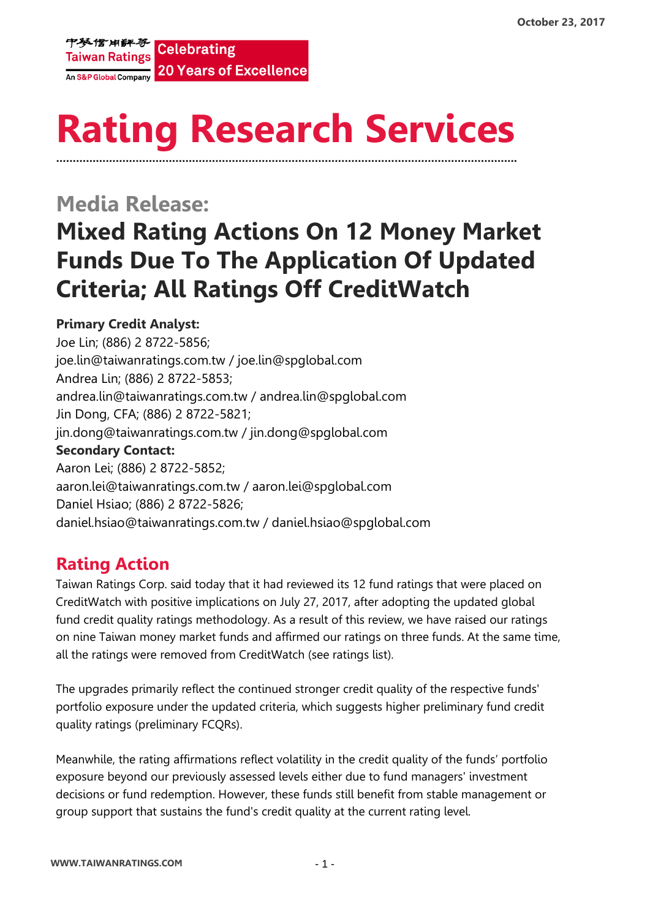

# **Rating Research Services ………………………………………………………………………………………………………………………….**

## **Media Release: Mixed Rating Actions On 12 Money Market Funds Due To The Application Of Updated Criteria; All Ratings Off CreditWatch**

#### **Primary Credit Analyst:**

Joe Lin; (886) 2 8722-5856; joe.lin@taiwanratings.com.tw / joe.lin@spglobal.com Andrea Lin; (886) 2 8722-5853; andrea.lin@taiwanratings.com.tw / [andrea.lin@spglobal.com](mailto:andrea.lin@spglobal.com) Jin Dong, CFA; (886) 2 8722-5821; jin.dong@taiwanratings.com.tw / jin.don[g@spglobal.com](mailto:andrea.lin@spglobal.com) **Secondary Contact:** Aaron Lei; (886) 2 8722-5852; aaron.lei@taiwanratings.com.tw / aaron.lei@spglobal.com Daniel Hsiao; (886) 2 8722-5826; daniel.hsiao@taiwanratings.com.tw / daniel.hsiao@spglobal.com

### **Rating Action**

Taiwan Ratings Corp. said today that it had reviewed its 12 fund ratings that were placed on CreditWatch with positive implications on July 27, 2017, after adopting the updated global fund credit quality ratings methodology. As a result of this review, we have raised our ratings on nine Taiwan money market funds and affirmed our ratings on three funds. At the same time, all the ratings were removed from CreditWatch (see ratings list).

The upgrades primarily reflect the continued stronger credit quality of the respective funds' portfolio exposure under the updated criteria, which suggests higher preliminary fund credit quality ratings (preliminary FCQRs).

Meanwhile, the rating affirmations reflect volatility in the credit quality of the funds' portfolio exposure beyond our previously assessed levels either due to fund managers' investment decisions or fund redemption. However, these funds still benefit from stable management or group support that sustains the fund's credit quality at the current rating level.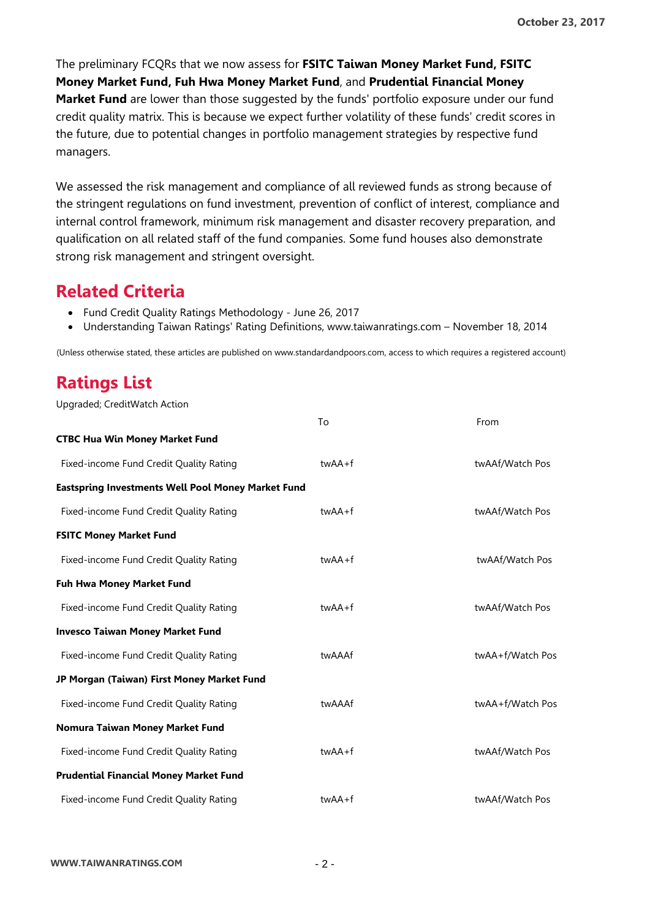The preliminary FCQRs that we now assess for **[FSITC Taiwan Money Market Fund,](https://rrs.taiwanratings.com.tw/portal/member/viewFund/509) [FSITC](https://rrs.taiwanratings.com.tw/portal/member/viewFund/516)  [Money Market Fund,](https://rrs.taiwanratings.com.tw/portal/member/viewFund/516) [Fuh Hwa Money Market Fund](https://rrs.taiwanratings.com.tw/portal/member/viewFund/511)**, and **[Prudential Financial Money](https://rrs.taiwanratings.com.tw/portal/member/viewFund/515)  [Market Fund](https://rrs.taiwanratings.com.tw/portal/member/viewFund/515)** are lower than those suggested by the funds' portfolio exposure under our fund credit quality matrix. This is because we expect further volatility of these funds' credit scores in the future, due to potential changes in portfolio management strategies by respective fund managers.

We assessed the risk management and compliance of all reviewed funds as strong because of the stringent regulations on fund investment, prevention of conflict of interest, compliance and internal control framework, minimum risk management and disaster recovery preparation, and qualification on all related staff of the fund companies. Some fund houses also demonstrate strong risk management and stringent oversight.

#### **Related Criteria**

- Fund Credit Quality Ratings Methodology June 26, 2017
- Understanding Taiwan Ratings' Rating Definitions, www.taiwanratings.com November 18, 2014

(Unless otherwise stated, these articles are published on www.standardandpoors.com, access to which requires a registered account)

### **Ratings List**

Upgraded; CreditWatch Action

|                                                           | To         | From             |
|-----------------------------------------------------------|------------|------------------|
| <b>CTBC Hua Win Money Market Fund</b>                     |            |                  |
| Fixed-income Fund Credit Quality Rating                   | twAA+f     | twAAf/Watch Pos  |
| <b>Eastspring Investments Well Pool Money Market Fund</b> |            |                  |
| Fixed-income Fund Credit Quality Rating                   | $twAA + f$ | twAAf/Watch Pos  |
| <b>FSITC Money Market Fund</b>                            |            |                  |
| Fixed-income Fund Credit Quality Rating                   | $twAA + f$ | twAAf/Watch Pos  |
| <b>Fuh Hwa Money Market Fund</b>                          |            |                  |
| Fixed-income Fund Credit Quality Rating                   | twAA+f     | twAAf/Watch Pos  |
| <b>Invesco Taiwan Money Market Fund</b>                   |            |                  |
| Fixed-income Fund Credit Quality Rating                   | twAAAf     | twAA+f/Watch Pos |
| JP Morgan (Taiwan) First Money Market Fund                |            |                  |
| Fixed-income Fund Credit Quality Rating                   | twAAAf     | twAA+f/Watch Pos |
| Nomura Taiwan Money Market Fund                           |            |                  |
| Fixed-income Fund Credit Quality Rating                   | $twAA + f$ | twAAf/Watch Pos  |
| <b>Prudential Financial Money Market Fund</b>             |            |                  |
| Fixed-income Fund Credit Quality Rating                   | twAA+f     | twAAf/Watch Pos  |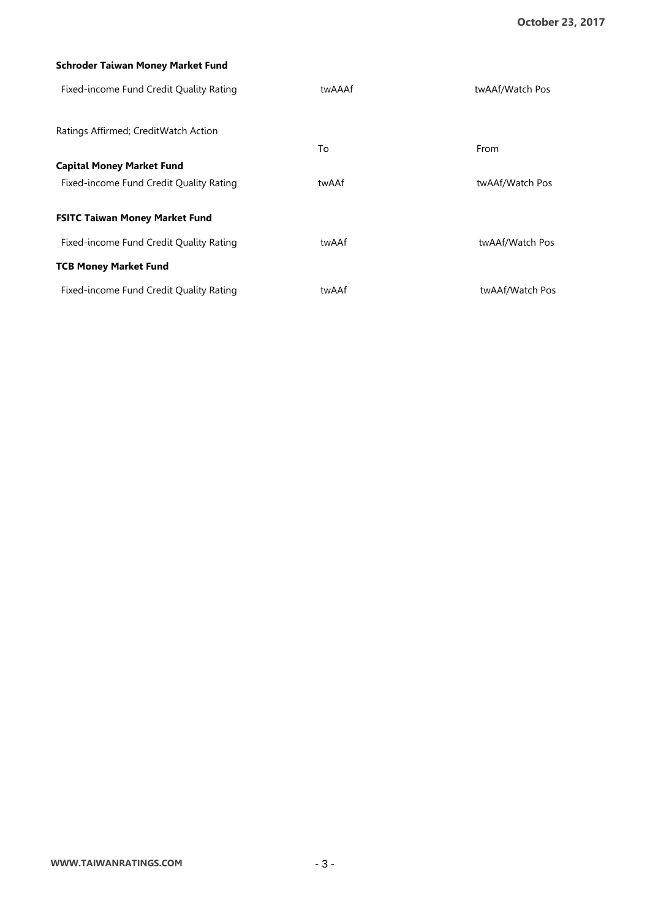#### **[Schroder Taiwan Money Market Fund](https://rrs.taiwanratings.com.tw/portal/member/viewFund/519)**

| Fixed-income Fund Credit Quality Rating | twAAAf | twAAf/Watch Pos |
|-----------------------------------------|--------|-----------------|
| Ratings Affirmed; CreditWatch Action    |        |                 |
|                                         | To     | From            |
| <b>Capital Money Market Fund</b>        |        |                 |
| Fixed-income Fund Credit Quality Rating | twAAf  | twAAf/Watch Pos |
| <b>FSITC Taiwan Money Market Fund</b>   |        |                 |
| Fixed-income Fund Credit Quality Rating | twAAf  | twAAf/Watch Pos |
| <b>TCB Money Market Fund</b>            |        |                 |
| Fixed-income Fund Credit Quality Rating | twAAf  | twAAf/Watch Pos |